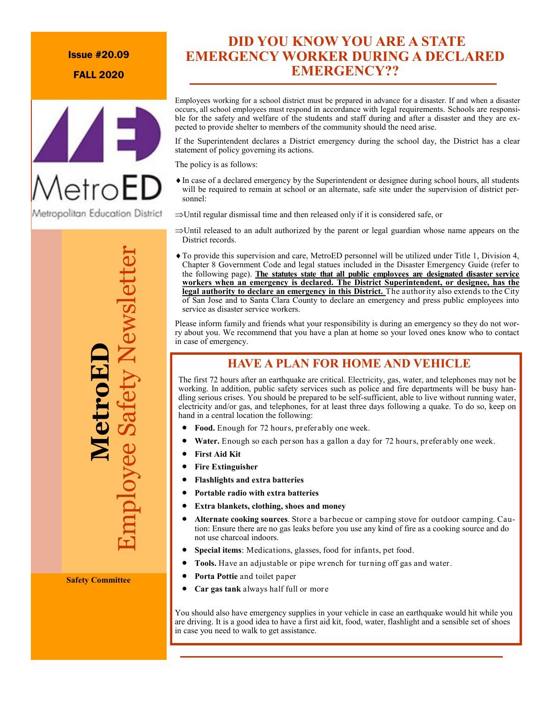#### Issue #20.09

FALL 2020



**MetroED** Employee Safety Newsletter

**Safety Committee**

### **DID YOU KNOW YOU ARE A STATE EMERGENCY WORKER DURING A DECLARED EMERGENCY??**

Employees working for a school district must be prepared in advance for a disaster. If and when a disaster occurs, all school employees must respond in accordance with legal requirements. Schools are responsible for the safety and welfare of the students and staff during and after a disaster and they are expected to provide shelter to members of the community should the need arise.

If the Superintendent declares a District emergency during the school day, the District has a clear statement of policy governing its actions.

The policy is as follows:

- In case of a declared emergency by the Superintendent or designee during school hours, all students will be required to remain at school or an alternate, safe site under the supervision of district personnel:
- Until regular dismissal time and then released only if it is considered safe, or
- $\Rightarrow$  Until released to an adult authorized by the parent or legal guardian whose name appears on the District records.
- To provide this supervision and care, MetroED personnel will be utilized under Title 1, Division 4, Chapter 8 Government Code and legal statues included in the Disaster Emergency Guide (refer to the following page). **The statutes state that all public employees are designated disaster service workers when an emergency is declared. The District Superintendent, or designee, has the legal authority to declare an emergency in this District.** The authority also extends to the City of San Jose and to Santa Clara County to declare an emergency and press public employees into service as disaster service workers.

Please inform family and friends what your responsibility is during an emergency so they do not worry about you. We recommend that you have a plan at home so your loved ones know who to contact in case of emergency.

#### **HAVE A PLAN FOR HOME AND VEHICLE**

The first 72 hours after an earthquake are critical. Electricity, gas, water, and telephones may not be working. In addition, public safety services such as police and fire departments will be busy handling serious crises. You should be prepared to be self-sufficient, able to live without running water, electricity and/or gas, and telephones, for at least three days following a quake. To do so, keep on hand in a central location the following:

- **Food.** Enough for 72 hours, preferably one week.
- **Water.** Enough so each person has a gallon a day for 72 hours, preferably one week.
- **First Aid Kit**
- **Fire Extinguisher**
- **Flashlights and extra batteries**
- **Portable radio with extra batteries**
- **Extra blankets, clothing, shoes and money**
- **Alternate cooking sources**. Store a barbecue or camping stove for outdoor camping. Caution: Ensure there are no gas leaks before you use any kind of fire as a cooking source and do not use charcoal indoors.
- **Special items**: Medications, glasses, food for infants, pet food.
- **Tools.** Have an adjustable or pipe wrench for turning off gas and water.
- **Porta Pottie** and toilet paper
- **Car gas tank** always half full or more

You should also have emergency supplies in your vehicle in case an earthquake would hit while you are driving. It is a good idea to have a first aid kit, food, water, flashlight and a sensible set of shoes in case you need to walk to get assistance.